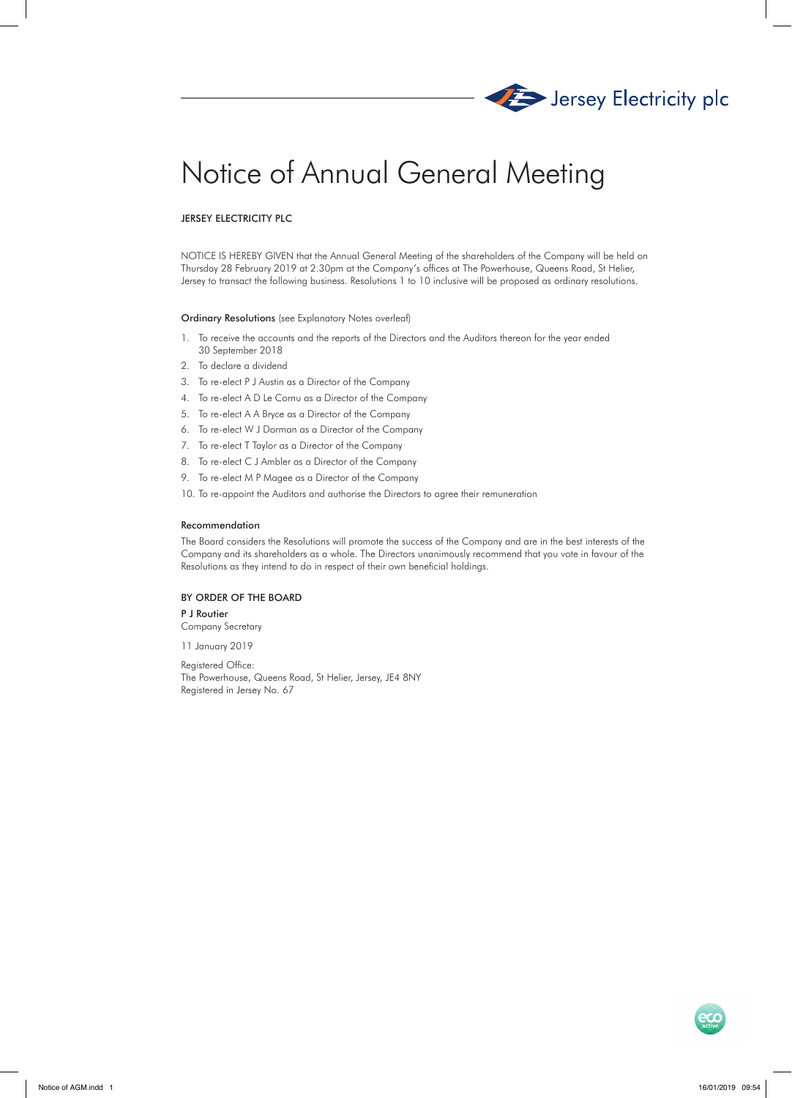

# Notice of Annual General Meeting

# JERSEY ELECTRICITY PLC

NOTICE IS HEREBY GIVEN that the Annual General Meeting of the shareholders of the Company will be held on Thursday 28 February 2019 at 2.30pm at the Company's offices at The Powerhouse, Queens Road, St Helier, Jersey to transact the following business. Resolutions 1 to 10 inclusive will be proposed as ordinary resolutions.

### Ordinary Resolutions (see Explanatory Notes overleaf)

- 1. To receive the accounts and the reports of the Directors and the Auditors thereon for the year ended 30 September 2018
- 2. To declare a dividend
- 3. To re-elect P J Austin as a Director of the Company
- 4. To re-elect A D Le Cornu as a Director of the Company
- 5. To re-elect A A Bryce as a Director of the Company
- 6. To re-elect W J Dorman as a Director of the Company
- 7. To re-elect T Taylor as a Director of the Company
- 8. To re-elect C J Ambler as a Director of the Company
- 9. To re-elect M P Magee as a Director of the Company
- 10. To re-appoint the Auditors and authorise the Directors to agree their remuneration

#### Recommendation

The Board considers the Resolutions will promote the success of the Company and are in the best interests of the Company and its shareholders as a whole. The Directors unanimously recommend that you vote in favour of the Resolutions as they intend to do in respect of their own beneficial holdings.

# BY ORDER OF THE BOARD

P J Routier

Company Secretary 11 January 2019

Registered Office: The Powerhouse, Queens Road, St Helier, Jersey, JE4 8NY Registered in Jersey No. 67